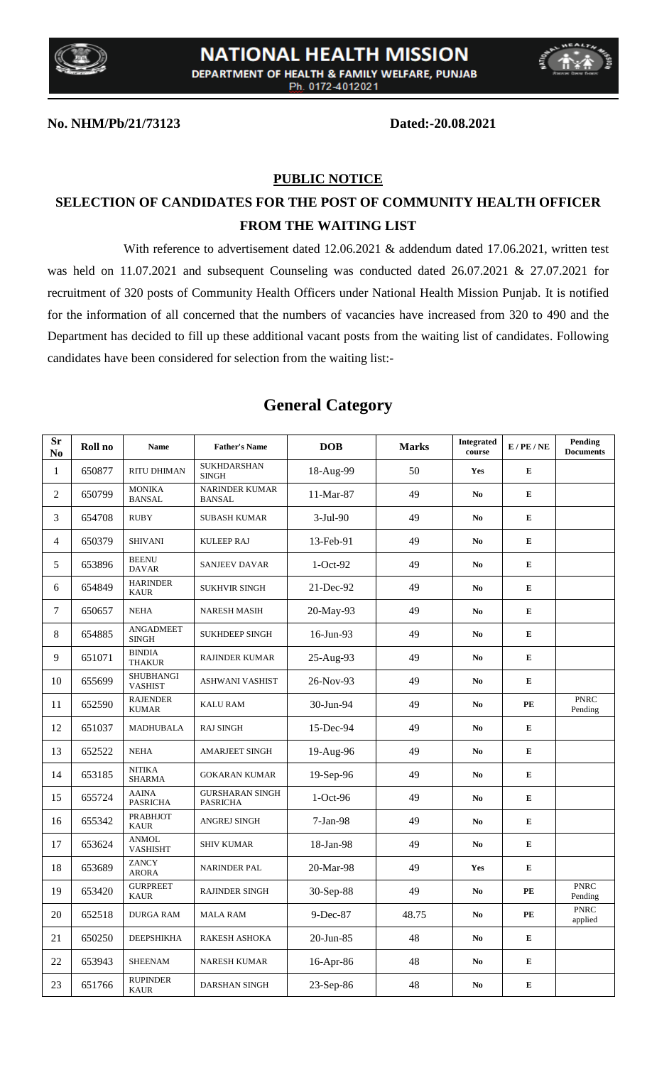



#### **No. NHM/Pb/21/73123 Dated:-20.08.2021**

### **PUBLIC NOTICE**

## **SELECTION OF CANDIDATES FOR THE POST OF COMMUNITY HEALTH OFFICER FROM THE WAITING LIST**

With reference to advertisement dated 12.06.2021 & addendum dated 17.06.2021, written test was held on 11.07.2021 and subsequent Counseling was conducted dated 26.07.2021 & 27.07.2021 for recruitment of 320 posts of Community Health Officers under National Health Mission Punjab. It is notified for the information of all concerned that the numbers of vacancies have increased from 320 to 490 and the Department has decided to fill up these additional vacant posts from the waiting list of candidates. Following candidates have been considered for selection from the waiting list:-

| <b>Sr</b><br>No | Roll no | <b>Name</b>                        | <b>Father's Name</b>                      | <b>DOB</b> | <b>Marks</b> | <b>Integrated</b><br>course | $E$ / PE / NE          | Pending<br><b>Documents</b> |
|-----------------|---------|------------------------------------|-------------------------------------------|------------|--------------|-----------------------------|------------------------|-----------------------------|
| $\mathbf{1}$    | 650877  | RITU DHIMAN                        | SUKHDARSHAN<br><b>SINGH</b>               | 18-Aug-99  | 50           | Yes                         | ${\bf E}$              |                             |
| $\overline{c}$  | 650799  | <b>MONIKA</b><br><b>BANSAL</b>     | <b>NARINDER KUMAR</b><br><b>BANSAL</b>    | 11-Mar-87  | 49           | N <sub>0</sub>              | E                      |                             |
| 3               | 654708  | <b>RUBY</b>                        | <b>SUBASH KUMAR</b>                       | $3-Jul-90$ | 49           | N <sub>0</sub>              | ${\bf E}$              |                             |
| 4               | 650379  | <b>SHIVANI</b>                     | <b>KULEEP RAJ</b>                         | 13-Feb-91  | 49           | N <sub>0</sub>              | ${\bf E}$              |                             |
| 5               | 653896  | <b>BEENU</b><br><b>DAVAR</b>       | <b>SANJEEV DAVAR</b>                      | $1-Oct-92$ | 49           | N <sub>0</sub>              | ${\bf E}$              |                             |
| 6               | 654849  | <b>HARINDER</b><br><b>KAUR</b>     | <b>SUKHVIR SINGH</b>                      | 21-Dec-92  | 49           | N <sub>0</sub>              | ${\bf E}$              |                             |
| 7               | 650657  | <b>NEHA</b>                        | <b>NARESH MASIH</b>                       | 20-May-93  | 49           | N <sub>0</sub>              | ${\bf E}$              |                             |
| 8               | 654885  | <b>ANGADMEET</b><br><b>SINGH</b>   | SUKHDEEP SINGH                            | 16-Jun-93  | 49           | N <sub>0</sub>              | ${\bf E}$              |                             |
| 9               | 651071  | <b>BINDIA</b><br><b>THAKUR</b>     | <b>RAJINDER KUMAR</b>                     | 25-Aug-93  | 49           | N <sub>0</sub>              | E                      |                             |
| 10              | 655699  | <b>SHUBHANGI</b><br><b>VASHIST</b> | <b>ASHWANI VASHIST</b>                    | 26-Nov-93  | 49           | N <sub>0</sub>              | ${\bf E}$              |                             |
| 11              | 652590  | <b>RAJENDER</b><br><b>KUMAR</b>    | <b>KALU RAM</b>                           | 30-Jun-94  | 49           | No                          | $\mathbf{P}\mathbf{E}$ | <b>PNRC</b><br>Pending      |
| 12              | 651037  | MADHUBALA                          | <b>RAJ SINGH</b>                          | 15-Dec-94  | 49           | N <sub>0</sub>              | ${\bf E}$              |                             |
| 13              | 652522  | <b>NEHA</b>                        | <b>AMARJEET SINGH</b>                     | 19-Aug-96  | 49           | N <sub>0</sub>              | ${\bf E}$              |                             |
| 14              | 653185  | <b>NITIKA</b><br><b>SHARMA</b>     | <b>GOKARAN KUMAR</b>                      | 19-Sep-96  | 49           | N <sub>0</sub>              | ${\bf E}$              |                             |
| 15              | 655724  | <b>AAINA</b><br><b>PASRICHA</b>    | <b>GURSHARAN SINGH</b><br><b>PASRICHA</b> | 1-Oct-96   | 49           | No.                         | ${\bf E}$              |                             |
| 16              | 655342  | <b>PRABHJOT</b><br><b>KAUR</b>     | ANGREJ SINGH                              | 7-Jan-98   | 49           | N <sub>0</sub>              | ${\bf E}$              |                             |
| 17              | 653624  | ANMOL<br>VASHISHT                  | <b>SHIV KUMAR</b>                         | 18-Jan-98  | 49           | N <sub>0</sub>              | ${\bf E}$              |                             |
| 18              | 653689  | ZANCY<br><b>ARORA</b>              | <b>NARINDER PAL</b>                       | 20-Mar-98  | 49           | Yes                         | ${\bf E}$              |                             |
| 19              | 653420  | <b>GURPREET</b><br><b>KAUR</b>     | <b>RAJINDER SINGH</b>                     | 30-Sep-88  | 49           | No                          | PE                     | <b>PNRC</b><br>Pending      |
| 20              | 652518  | <b>DURGA RAM</b>                   | <b>MALA RAM</b>                           | 9-Dec-87   | 48.75        | No.                         | $\mathbf{P}\mathbf{E}$ | PNRC<br>applied             |
| 21              | 650250  | <b>DEEPSHIKHA</b>                  | RAKESH ASHOKA                             | 20-Jun-85  | 48           | No                          | ${\bf E}$              |                             |
| 22              | 653943  | <b>SHEENAM</b>                     | <b>NARESH KUMAR</b>                       | 16-Apr-86  | 48           | No                          | ${\bf E}$              |                             |
| 23              | 651766  | <b>RUPINDER</b><br>KAUR            | DARSHAN SINGH                             | 23-Sep-86  | 48           | No                          | ${\bf E}$              |                             |

## **General Category**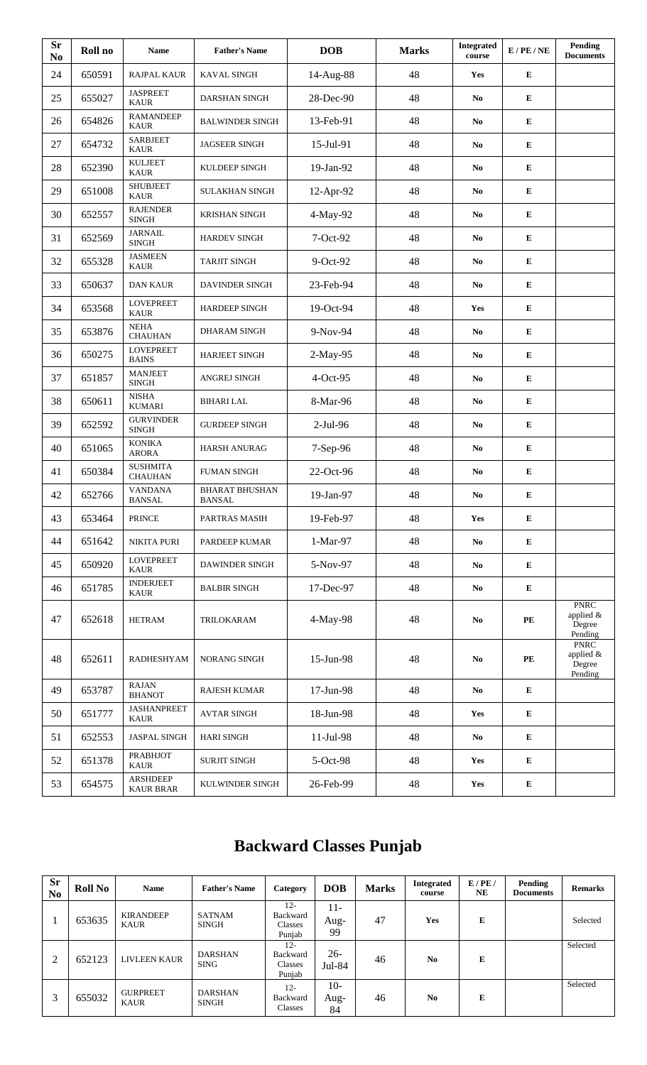| <b>Sr</b><br>No | Roll no | <b>Name</b>                         | <b>Father's Name</b>                   | <b>DOB</b>     | <b>Marks</b> | <b>Integrated</b><br>course | $E$ / PE / NE          | Pending<br><b>Documents</b>                   |
|-----------------|---------|-------------------------------------|----------------------------------------|----------------|--------------|-----------------------------|------------------------|-----------------------------------------------|
| 24              | 650591  | <b>RAJPAL KAUR</b>                  | KAVAL SINGH                            | 14-Aug-88      | 48           | Yes                         | ${\bf E}$              |                                               |
| 25              | 655027  | <b>JASPREET</b><br><b>KAUR</b>      | DARSHAN SINGH                          | 28-Dec-90      | 48           | N <sub>0</sub>              | E                      |                                               |
| 26              | 654826  | <b>RAMANDEEP</b><br><b>KAUR</b>     | <b>BALWINDER SINGH</b>                 | 13-Feb-91      | 48           | N <sub>0</sub>              | ${\bf E}$              |                                               |
| 27              | 654732  | <b>SARBJEET</b><br><b>KAUR</b>      | <b>JAGSEER SINGH</b>                   | 15-Jul-91      | 48           | No                          | E                      |                                               |
| 28              | 652390  | <b>KULJEET</b><br><b>KAUR</b>       | KULDEEP SINGH                          | 19-Jan-92      | 48           | No                          | ${\bf E}$              |                                               |
| 29              | 651008  | <b>SHUBJEET</b><br><b>KAUR</b>      | <b>SULAKHAN SINGH</b>                  | 12-Apr-92      | 48           | N <sub>0</sub>              | ${\bf E}$              |                                               |
| 30              | 652557  | <b>RAJENDER</b><br><b>SINGH</b>     | <b>KRISHAN SINGH</b>                   | 4-May-92       | 48           | N <sub>0</sub>              | $\bf E$                |                                               |
| 31              | 652569  | <b>JARNAIL</b><br><b>SINGH</b>      | <b>HARDEV SINGH</b>                    | 7-Oct-92<br>48 |              | No                          | ${\bf E}$              |                                               |
| 32              | 655328  | <b>JASMEEN</b><br><b>KAUR</b>       | <b>TARJIT SINGH</b>                    | 9-Oct-92       | 48           | N <sub>0</sub>              | ${\bf E}$              |                                               |
| 33              | 650637  | <b>DAN KAUR</b>                     | <b>DAVINDER SINGH</b>                  | 23-Feb-94      | 48           | No.                         | ${\bf E}$              |                                               |
| 34              | 653568  | <b>LOVEPREET</b><br><b>KAUR</b>     | <b>HARDEEP SINGH</b>                   | 19-Oct-94      | 48           | Yes                         | ${\bf E}$              |                                               |
| 35              | 653876  | <b>NEHA</b><br><b>CHAUHAN</b>       | <b>DHARAM SINGH</b>                    | 9-Nov-94       | 48           | No                          | ${\bf E}$              |                                               |
| 36              | 650275  | <b>LOVEPREET</b><br><b>BAINS</b>    | HARJEET SINGH                          | $2-May-95$     | 48           | N <sub>0</sub>              | ${\bf E}$              |                                               |
| 37              | 651857  | <b>MANJEET</b><br><b>SINGH</b>      | ANGREJ SINGH                           | $4-Oct-95$     | 48           | N <sub>0</sub>              | ${\bf E}$              |                                               |
| 38              | 650611  | <b>NISHA</b><br><b>KUMARI</b>       | <b>BIHARI LAL</b>                      | 8-Mar-96       | 48           | No                          | ${\bf E}$              |                                               |
| 39              | 652592  | <b>GURVINDER</b><br><b>SINGH</b>    | <b>GURDEEP SINGH</b>                   | $2-Jul-96$     | 48           | N <sub>0</sub>              | ${\bf E}$              |                                               |
| 40              | 651065  | <b>KONIKA</b><br><b>ARORA</b>       | <b>HARSH ANURAG</b>                    | 7-Sep-96       | 48           | N <sub>0</sub>              | ${\bf E}$              |                                               |
| 41              | 650384  | <b>SUSHMITA</b><br><b>CHAUHAN</b>   | <b>FUMAN SINGH</b>                     | 22-Oct-96      | 48           | No.                         | ${\bf E}$              |                                               |
| 42              | 652766  | <b>VANDANA</b><br><b>BANSAL</b>     | <b>BHARAT BHUSHAN</b><br><b>BANSAL</b> | 19-Jan-97      | 48           | No                          | ${\bf E}$              |                                               |
| 43              | 653464  | PRINCE                              | PARTRAS MASIH                          | 19-Feb-97      | 48           | Yes                         | ${\bf E}$              |                                               |
| 44              | 651642  | <b>NIKITA PURI</b>                  | PARDEEP KUMAR                          | $1-Mar-97$     | 48           | N <sub>0</sub>              | ${\bf E}$              |                                               |
| 45              | 650920  | <b>LOVEPREET</b><br><b>KAUR</b>     | <b>DAWINDER SINGH</b>                  | 5-Nov-97       | 48           | N <sub>0</sub>              | ${\bf E}$              |                                               |
| 46              | 651785  | <b>INDERJEET</b><br><b>KAUR</b>     | <b>BALBIR SINGH</b>                    | 17-Dec-97      | 48           | No.                         | E                      |                                               |
| 47              | 652618  | <b>HETRAM</b>                       | TRILOKARAM                             | 4-May-98       | 48           | N <sub>0</sub>              | $\mathbf{P}\mathbf{E}$ | <b>PNRC</b><br>applied &<br>Degree<br>Pending |
| 48              | 652611  | <b>RADHESHYAM</b>                   | NORANG SINGH                           | 15-Jun-98      | 48           | N <sub>0</sub>              | $\mathbf{P}\mathbf{E}$ | <b>PNRC</b><br>applied &<br>Degree<br>Pending |
| 49              | 653787  | <b>RAJAN</b><br><b>BHANOT</b>       | <b>RAJESH KUMAR</b>                    | 17-Jun-98      | 48           | N <sub>0</sub>              | E                      |                                               |
| 50              | 651777  | <b>JASHANPREET</b><br><b>KAUR</b>   | <b>AVTAR SINGH</b>                     | 18-Jun-98      | 48           | Yes                         | ${\bf E}$              |                                               |
| 51              | 652553  | <b>JASPAL SINGH</b>                 | <b>HARI SINGH</b>                      | 11-Jul-98      | 48           | No                          | ${\bf E}$              |                                               |
| 52              | 651378  | <b>PRABHJOT</b><br><b>KAUR</b>      | <b>SURJIT SINGH</b>                    | 5-Oct-98       | 48           | Yes                         | ${\bf E}$              |                                               |
| 53              | 654575  | <b>ARSHDEEP</b><br><b>KAUR BRAR</b> | KULWINDER SINGH                        | 26-Feb-99      | 48           | Yes                         | ${\bf E}$              |                                               |

# **Backward Classes Punjab**

| <b>Sr</b><br>N <sub>0</sub> | Roll No | <b>Name</b>                     | <b>Father's Name</b>           | Category                                | DOB                  | <b>Marks</b> | <b>Integrated</b><br>course | E/PE/<br><b>NE</b> | Pending<br><b>Documents</b> | <b>Remarks</b> |
|-----------------------------|---------|---------------------------------|--------------------------------|-----------------------------------------|----------------------|--------------|-----------------------------|--------------------|-----------------------------|----------------|
|                             | 653635  | <b>KIRANDEEP</b><br><b>KAUR</b> | <b>SATNAM</b><br><b>SINGH</b>  | $12 -$<br>Backward<br>Classes<br>Punjab | $11 -$<br>Aug-<br>99 | 47           | Yes                         | E                  |                             | Selected       |
| 2                           | 652123  | <b>LIVLEEN KAUR</b>             | <b>DARSHAN</b><br><b>SING</b>  | $12 -$<br>Backward<br>Classes<br>Punjab | $26-$<br>Jul-84      | 46           | N <sub>0</sub>              | E                  |                             | Selected       |
| 3                           | 655032  | <b>GURPREET</b><br><b>KAUR</b>  | <b>DARSHAN</b><br><b>SINGH</b> | $12 -$<br>Backward<br>Classes           | $10-$<br>Aug-<br>84  | 46           | N <sub>0</sub>              | E                  |                             | Selected       |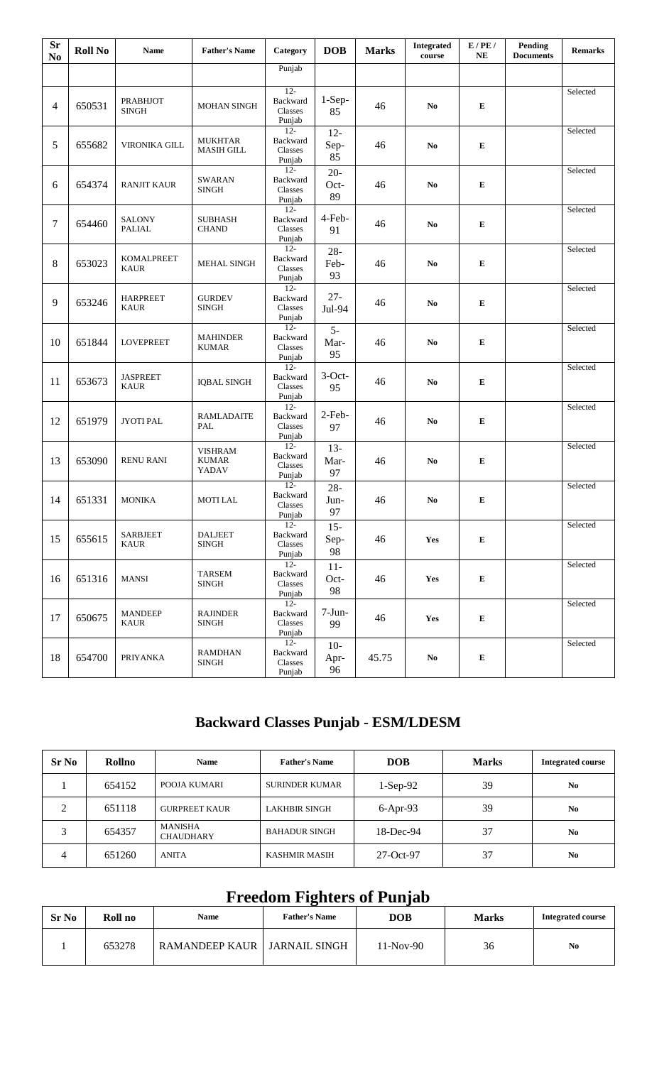| $S_{r}$<br>N <sub>0</sub> | <b>Roll No</b> | <b>Name</b>                     | <b>Father's Name</b>            | Category                                | <b>DOB</b>           | <b>Marks</b> | <b>Integrated</b><br>course | E/PE/<br>NE | <b>Pending</b><br><b>Documents</b> | <b>Remarks</b> |
|---------------------------|----------------|---------------------------------|---------------------------------|-----------------------------------------|----------------------|--------------|-----------------------------|-------------|------------------------------------|----------------|
|                           |                |                                 |                                 | Punjab                                  |                      |              |                             |             |                                    |                |
| $\overline{4}$            | 650531         | <b>PRABHJOT</b><br><b>SINGH</b> | <b>MOHAN SINGH</b>              | $12 -$<br>Backward<br>Classes<br>Punjab | $1-Sep-$<br>85       | 46           | N <sub>0</sub>              | ${\bf E}$   |                                    | Selected       |
| 5                         | 655682         | VIRONIKA GILL                   | MUKHTAR<br><b>MASIH GILL</b>    | $12 -$<br>Backward<br>Classes<br>Punjab | $12 -$<br>Sep-<br>85 | 46           | N <sub>0</sub>              | ${\bf E}$   |                                    | Selected       |
| 6                         | 654374         | RANJIT KAUR                     | <b>SWARAN</b><br><b>SINGH</b>   | $12 -$<br>Backward<br>Classes<br>Punjab | $20 -$<br>Oct-<br>89 | 46           | N <sub>0</sub>              | ${\bf E}$   |                                    | Selected       |
| 7                         | 654460         | <b>SALONY</b><br><b>PALIAL</b>  | <b>SUBHASH</b><br><b>CHAND</b>  | $12 -$<br>Backward<br>Classes<br>Punjab | 4-Feb-<br>91         | 46           | N <sub>0</sub>              | ${\bf E}$   |                                    | Selected       |
| 8                         | 653023         | KOMALPREET<br><b>KAUR</b>       | <b>MEHAL SINGH</b>              | $12 -$<br>Backward<br>Classes<br>Punjab | $28 -$<br>Feb-<br>93 | 46           | No                          | ${\bf E}$   |                                    | Selected       |
| 9                         | 653246         | <b>HARPREET</b><br><b>KAUR</b>  | <b>GURDEV</b><br><b>SINGH</b>   | $12 -$<br>Backward<br>Classes<br>Punjab | $27 -$<br>Jul-94     | 46           | No                          | ${\bf E}$   |                                    | Selected       |
| 10                        | 651844         | <b>LOVEPREET</b>                | <b>MAHINDER</b><br><b>KUMAR</b> | $12 -$<br>Backward<br>Classes<br>Punjab | $5-$<br>Mar-<br>95   | 46           | N <sub>0</sub>              | ${\bf E}$   |                                    | Selected       |
| 11                        | 653673         | <b>JASPREET</b><br><b>KAUR</b>  | <b>IQBAL SINGH</b>              | $12 -$<br>Backward<br>Classes<br>Punjab | $3$ -Oct-<br>95      | 46           | N <sub>0</sub>              | ${\bf E}$   |                                    | Selected       |
| 12                        | 651979         | <b>JYOTI PAL</b>                | <b>RAMLADAITE</b><br>PAL        | $12 -$<br>Backward<br>Classes<br>Punjab | 2-Feb-<br>97         | 46           | N <sub>0</sub>              | ${\bf E}$   |                                    | Selected       |
| 13                        | 653090         | <b>RENU RANI</b>                | VISHRAM<br>KUMAR<br>YADAV       | $12 -$<br>Backward<br>Classes<br>Punjab | $13-$<br>Mar-<br>97  | 46           | No.                         | ${\bf E}$   |                                    | Selected       |
| 14                        | 651331         | <b>MONIKA</b>                   | <b>MOTILAL</b>                  | $12 -$<br>Backward<br>Classes<br>Punjab | $28 -$<br>Jun-<br>97 | 46           | No.                         | ${\bf E}$   |                                    | Selected       |
| 15                        | 655615         | <b>SARBJEET</b><br><b>KAUR</b>  | <b>DALJEET</b><br><b>SINGH</b>  | $12 -$<br>Backward<br>Classes<br>Punjab | $15 -$<br>Sep-<br>98 | 46           | Yes                         | ${\bf E}$   |                                    | Selected       |
| 16                        | 651316         | <b>MANSI</b>                    | <b>TARSEM</b><br>SINGH          | $12-$<br>Backward<br>Classes<br>Punjab  | $11-$<br>Oct-<br>98  | 46           | Yes                         | ${\bf E}$   |                                    | Selected       |
| 17                        | 650675         | <b>MANDEEP</b><br><b>KAUR</b>   | <b>RAJINDER</b><br><b>SINGH</b> | $12 -$<br>Backward<br>Classes<br>Punjab | $7-Jun-$<br>99       | 46           | Yes                         | ${\bf E}$   |                                    | Selected       |
| 18                        | 654700         | <b>PRIYANKA</b>                 | <b>RAMDHAN</b><br><b>SINGH</b>  | $12 -$<br>Backward<br>Classes<br>Punjab | $10-$<br>Apr-<br>96  | 45.75        | $\mathbf{N}\mathbf{o}$      | ${\bf E}$   |                                    | Selected       |

## **Backward Classes Punjab - ESM/LDESM**

| <b>Sr No</b> | Rollno | <b>Name</b>                        | <b>Father's Name</b>  | <b>DOB</b> | <b>Marks</b> | <b>Integrated course</b> |
|--------------|--------|------------------------------------|-----------------------|------------|--------------|--------------------------|
|              | 654152 | POOJA KUMARI                       | <b>SURINDER KUMAR</b> | $1-Sep-92$ | 39           | N <sub>0</sub>           |
|              | 651118 | <b>GURPREET KAUR</b>               | <b>LAKHBIR SINGH</b>  | $6-Apr-93$ | 39           | $\bf No$                 |
|              | 654357 | <b>MANISHA</b><br><b>CHAUDHARY</b> | <b>BAHADUR SINGH</b>  | 18-Dec-94  | 37           | N <sub>0</sub>           |
| 4            | 651260 | <b>ANITA</b>                       | KASHMIR MASIH         | 27-Oct-97  | 37           | No                       |

## **Freedom Fighters of Punjab**

| <b>Sr No</b> | Roll no<br><b>Name</b> |                                | <b>DOB</b><br><b>Father's Name</b> |           | <b>Marks</b> | <b>Integrated course</b> |
|--------------|------------------------|--------------------------------|------------------------------------|-----------|--------------|--------------------------|
|              | 653278                 | RAMANDEEP KAUR   JARNAIL SINGH |                                    | 11-Nov-90 | 36           | No                       |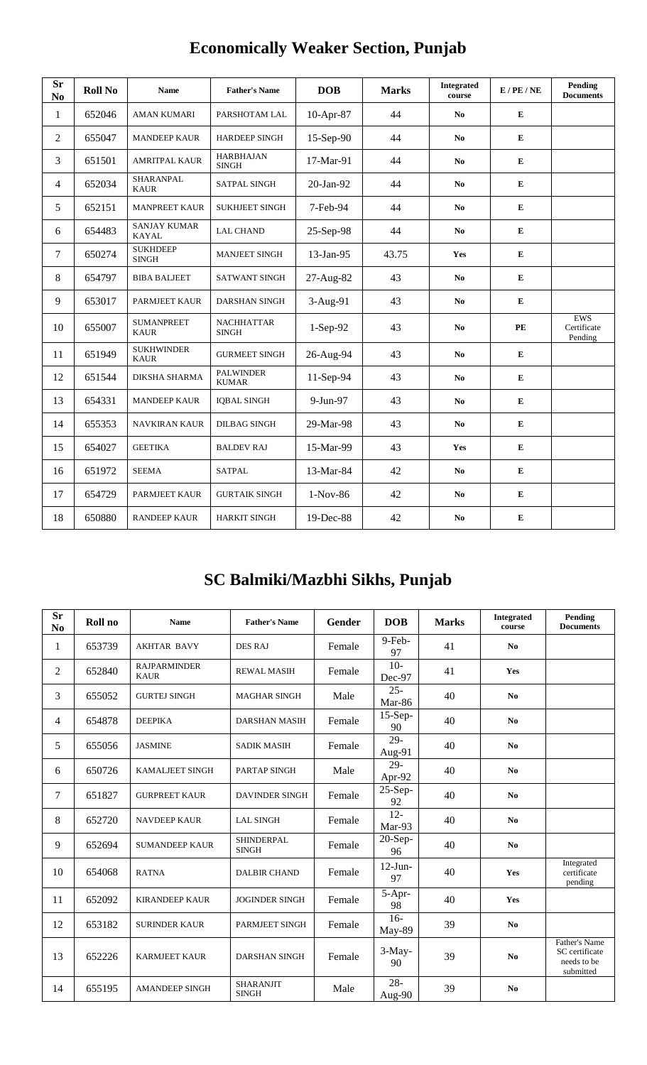| <b>Sr</b><br>N <sub>0</sub> | <b>Roll No</b> | <b>Name</b>                         | <b>Father's Name</b>              | <b>DOB</b> | <b>Marks</b> | <b>Integrated</b><br>course | $E$ / PE / NE | Pending<br><b>Documents</b>          |
|-----------------------------|----------------|-------------------------------------|-----------------------------------|------------|--------------|-----------------------------|---------------|--------------------------------------|
| $\mathbf{1}$                | 652046         | <b>AMAN KUMARI</b>                  | PARSHOTAM LAL                     | 10-Apr-87  | 44           | N <sub>0</sub>              | ${\bf E}$     |                                      |
| $\overline{2}$              | 655047         | <b>MANDEEP KAUR</b>                 | <b>HARDEEP SINGH</b>              | 15-Sep-90  | 44           | N <sub>0</sub>              | E             |                                      |
| 3                           | 651501         | <b>AMRITPAL KAUR</b>                | <b>HARBHAJAN</b><br><b>SINGH</b>  | 17-Mar-91  | 44           | N <sub>0</sub>              | ${\bf E}$     |                                      |
| 4                           | 652034         | SHARANPAL<br><b>KAUR</b>            | SATPAL SINGH                      | 20-Jan-92  | 44           | N <sub>0</sub>              | ${\bf E}$     |                                      |
| 5                           | 652151         | <b>MANPREET KAUR</b>                | <b>SUKHJEET SINGH</b>             | 7-Feb-94   | 44           | N <sub>0</sub>              | ${\bf E}$     |                                      |
| 6                           | 654483         | <b>SANJAY KUMAR</b><br><b>KAYAL</b> | <b>LAL CHAND</b>                  | 25-Sep-98  | 44           | N <sub>0</sub>              | ${\bf E}$     |                                      |
| 7                           | 650274         | <b>SUKHDEEP</b><br><b>SINGH</b>     | <b>MANJEET SINGH</b>              | 13-Jan-95  | 43.75        | Yes                         | ${\bf E}$     |                                      |
| 8                           | 654797         | <b>BIBA BALJEET</b>                 | <b>SATWANT SINGH</b>              | 27-Aug-82  | 43           | N <sub>0</sub>              | ${\bf E}$     |                                      |
| 9                           | 653017         | PARMJEET KAUR                       | <b>DARSHAN SINGH</b>              | 3-Aug-91   | 43           | N <sub>0</sub>              | ${\bf E}$     |                                      |
| 10                          | 655007         | <b>SUMANPREET</b><br><b>KAUR</b>    | <b>NACHHATTAR</b><br><b>SINGH</b> | 1-Sep-92   | 43           | N <sub>0</sub>              | PE            | <b>EWS</b><br>Certificate<br>Pending |
| 11                          | 651949         | <b>SUKHWINDER</b><br><b>KAUR</b>    | <b>GURMEET SINGH</b>              | 26-Aug-94  | 43           | N <sub>0</sub>              | ${\bf E}$     |                                      |
| 12                          | 651544         | DIKSHA SHARMA                       | <b>PALWINDER</b><br><b>KUMAR</b>  | 11-Sep-94  | 43           | N <sub>0</sub>              | ${\bf E}$     |                                      |
| 13                          | 654331         | <b>MANDEEP KAUR</b>                 | <b>IQBAL SINGH</b>                | 9-Jun-97   | 43           | N <sub>0</sub>              | ${\bf E}$     |                                      |
| 14                          | 655353         | NAVKIRAN KAUR                       | DILBAG SINGH                      | 29-Mar-98  | 43           | N <sub>0</sub>              | ${\bf E}$     |                                      |
| 15                          | 654027         | <b>GEETIKA</b>                      | <b>BALDEV RAJ</b>                 | 15-Mar-99  | 43           | Yes                         | ${\bf E}$     |                                      |
| 16                          | 651972         | <b>SEEMA</b>                        | <b>SATPAL</b>                     | 13-Mar-84  | 42           | N <sub>0</sub>              | ${\bf E}$     |                                      |
| 17                          | 654729         | PARMJEET KAUR                       | <b>GURTAIK SINGH</b>              | $1-Nov-86$ | 42           | N <sub>0</sub>              | ${\bf E}$     |                                      |
| 18                          | 650880         | <b>RANDEEP KAUR</b>                 | <b>HARKIT SINGH</b>               | 19-Dec-88  | 42           | N <sub>0</sub>              | ${\bf E}$     |                                      |

# **Economically Weaker Section, Punjab**

# **SC Balmiki/Mazbhi Sikhs, Punjab**

| <b>Sr</b><br>N <sub>0</sub> | Roll no | <b>Name</b>                        | <b>Father's Name</b>             | Gender | <b>DOB</b>                           | <b>Marks</b> | <b>Integrated</b><br>course | Pending<br><b>Documents</b>                                 |
|-----------------------------|---------|------------------------------------|----------------------------------|--------|--------------------------------------|--------------|-----------------------------|-------------------------------------------------------------|
| 1                           | 653739  | <b>AKHTAR BAVY</b>                 | <b>DES RAJ</b>                   | Female | 9-Feb-<br>97                         | 41           | N <sub>0</sub>              |                                                             |
| 2                           | 652840  | <b>RAJPARMINDER</b><br><b>KAUR</b> | <b>REWAL MASIH</b>               | Female | $10-$<br>Dec-97                      | 41           | Yes                         |                                                             |
| 3                           | 655052  | <b>GURTEJ SINGH</b>                | <b>MAGHAR SINGH</b>              | Male   | $25 -$<br>Mar-86                     | 40           | N <sub>0</sub>              |                                                             |
| 4                           | 654878  | <b>DEEPIKA</b>                     | <b>DARSHAN MASIH</b>             | Female | $15-Sep-$<br>90                      | 40           | N <sub>0</sub>              |                                                             |
| 5                           | 655056  | <b>JASMINE</b>                     | <b>SADIK MASIH</b>               | Female | 29-<br>Aug-91                        | 40           | No                          |                                                             |
| 6                           | 650726  | <b>KAMALJEET SINGH</b>             | PARTAP SINGH                     | Male   | $\overline{29}$<br>Apr-92            | 40           | N <sub>0</sub>              |                                                             |
| 7                           | 651827  | <b>GURPREET KAUR</b>               | <b>DAVINDER SINGH</b>            | Female | $25-Sep-$<br>92                      | 40           | N <sub>0</sub>              |                                                             |
| 8                           | 652720  | <b>NAVDEEP KAUR</b>                | <b>LAL SINGH</b>                 | Female | $12 -$<br>Mar-93                     | 40           | N <sub>0</sub>              |                                                             |
| 9                           | 652694  | <b>SUMANDEEP KAUR</b>              | SHINDERPAL<br><b>SINGH</b>       | Female | $\overline{2}0$ -Sep-<br>96          | 40           | N <sub>0</sub>              |                                                             |
| 10                          | 654068  | <b>RATNA</b>                       | <b>DALBIR CHAND</b>              | Female | $12$ -Jun-<br>97                     | 40           | Yes                         | Integrated<br>certificate<br>pending                        |
| 11                          | 652092  | <b>KIRANDEEP KAUR</b>              | <b>JOGINDER SINGH</b>            | Female | 5-Apr-<br>98                         | 40           | Yes                         |                                                             |
| 12                          | 653182  | <b>SURINDER KAUR</b>               | <b>PARMJEET SINGH</b>            | Female | $16-$<br>May-89                      | 39           | No                          |                                                             |
| 13                          | 652226  | <b>KARMJEET KAUR</b>               | <b>DARSHAN SINGH</b>             | Female | $3-May-$<br>90                       | 39           | N <sub>0</sub>              | Father's Name<br>SC certificate<br>needs to be<br>submitted |
| 14                          | 655195  | <b>AMANDEEP SINGH</b>              | <b>SHARANJIT</b><br><b>SINGH</b> | Male   | $28 -$<br>$\overline{\text{Aug-90}}$ | 39           | N <sub>0</sub>              |                                                             |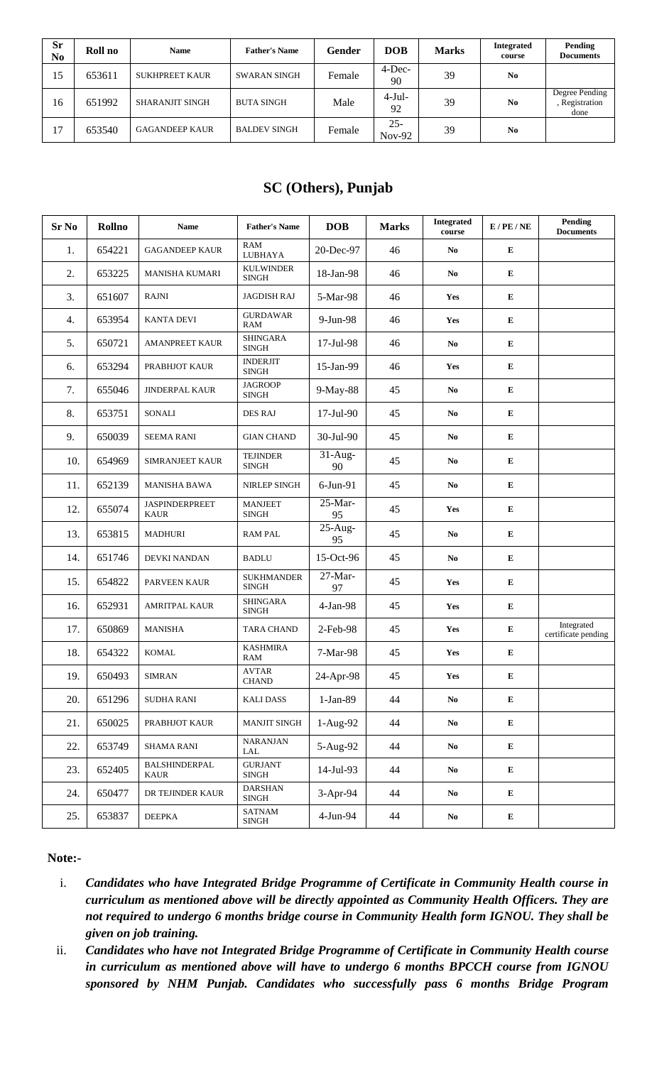| <b>Sr</b><br>No | Roll no | <b>Name</b>           | <b>Father's Name</b> | Gender | <b>DOB</b>         | <b>Marks</b> | <b>Integrated</b><br>course | Pending<br><b>Documents</b>              |
|-----------------|---------|-----------------------|----------------------|--------|--------------------|--------------|-----------------------------|------------------------------------------|
| 15              | 653611  | <b>SUKHPREET KAUR</b> | <b>SWARAN SINGH</b>  | Female | $4$ -Dec-<br>90    | 39           | N <sub>0</sub>              |                                          |
| 16              | 651992  | SHARANJIT SINGH       | <b>BUTA SINGH</b>    | Male   | $4-Jul-$<br>92     | 39           | N <sub>0</sub>              | Degree Pending<br>, Registration<br>done |
| 17              | 653540  | <b>GAGANDEEP KAUR</b> | <b>BALDEV SINGH</b>  | Female | $25 -$<br>$Nov-92$ | 39           | N <sub>0</sub>              |                                          |

## **SC (Others), Punjab**

| <b>Sr No</b> | Rollno | <b>Name</b>                          | <b>Father's Name</b>              | <b>DOB</b>      | <b>Marks</b> | <b>Integrated</b><br>course | $E$ / PE / NE | Pending<br><b>Documents</b>       |
|--------------|--------|--------------------------------------|-----------------------------------|-----------------|--------------|-----------------------------|---------------|-----------------------------------|
| 1.           | 654221 | <b>GAGANDEEP KAUR</b>                | <b>RAM</b><br>LUBHAYA             | 20-Dec-97       | 46           | N <sub>0</sub>              | ${\bf E}$     |                                   |
| 2.           | 653225 | MANISHA KUMARI                       | <b>KULWINDER</b><br><b>SINGH</b>  | 18-Jan-98       | 46           | N <sub>0</sub>              | ${\bf E}$     |                                   |
| 3.           | 651607 | <b>RAJNI</b>                         | <b>JAGDISH RAJ</b>                | 5-Mar-98        | 46           | Yes                         | ${\bf E}$     |                                   |
| 4.           | 653954 | <b>KANTA DEVI</b>                    | <b>GURDAWAR</b><br>RAM            | 9-Jun-98        | 46           | <b>Yes</b>                  | ${\bf E}$     |                                   |
| 5.           | 650721 | <b>AMANPREET KAUR</b>                | <b>SHINGARA</b><br><b>SINGH</b>   | 17-Jul-98       | 46           | N <sub>0</sub>              | ${\bf E}$     |                                   |
| 6.           | 653294 | PRABHJOT KAUR                        | <b>INDERJIT</b><br><b>SINGH</b>   | 15-Jan-99       | 46           | Yes                         | ${\bf E}$     |                                   |
| 7.           | 655046 | <b>JINDERPAL KAUR</b>                | <b>JAGROOP</b><br><b>SINGH</b>    | 9-May-88        | 45           | N <sub>0</sub>              | ${\bf E}$     |                                   |
| 8.           | 653751 | SONALI                               | <b>DES RAJ</b>                    | 17-Jul-90       | 45           | N <sub>0</sub>              | ${\bf E}$     |                                   |
| 9.           | 650039 | <b>SEEMA RANI</b>                    | <b>GIAN CHAND</b>                 | 30-Jul-90       | 45           | N <sub>0</sub>              | E             |                                   |
| 10.          | 654969 | <b>SIMRANJEET KAUR</b>               | <b>TEJINDER</b><br>${\bf SINGH}$  | $31-Aug-$<br>90 | 45           | N <sub>0</sub>              | ${\bf E}$     |                                   |
| 11.          | 652139 | <b>MANISHA BAWA</b>                  | NIRLEP SINGH                      | $6$ -Jun- $91$  | 45           | N <sub>0</sub>              | ${\bf E}$     |                                   |
| 12.          | 655074 | <b>JASPINDERPREET</b><br><b>KAUR</b> | <b>MANJEET</b><br><b>SINGH</b>    | $25-Mar-$<br>95 | 45           | Yes                         | ${\bf E}$     |                                   |
| 13.          | 653815 | MADHURI                              | <b>RAM PAL</b>                    | $25-Aug-$<br>95 | 45           | N <sub>0</sub>              | ${\bf E}$     |                                   |
| 14.          | 651746 | DEVKI NANDAN                         | <b>BADLU</b>                      | 15-Oct-96       | 45           | N <sub>0</sub>              | ${\bf E}$     |                                   |
| 15.          | 654822 | PARVEEN KAUR                         | <b>SUKHMANDER</b><br><b>SINGH</b> | 27-Mar-<br>97   | 45           | Yes                         | ${\bf E}$     |                                   |
| 16.          | 652931 | <b>AMRITPAL KAUR</b>                 | <b>SHINGARA</b><br><b>SINGH</b>   | $4-Jan-98$      | 45           | <b>Yes</b>                  | ${\bf E}$     |                                   |
| 17.          | 650869 | <b>MANISHA</b>                       | <b>TARA CHAND</b>                 | 2-Feb-98        | 45           | Yes                         | ${\bf E}$     | Integrated<br>certificate pending |
| 18.          | 654322 | <b>KOMAL</b>                         | <b>KASHMIRA</b><br>RAM            | 7-Mar-98        | 45           | Yes                         | Е             |                                   |
| 19.          | 650493 | <b>SIMRAN</b>                        | <b>AVTAR</b><br><b>CHAND</b>      | 24-Apr-98       | 45           | <b>Yes</b>                  | ${\bf E}$     |                                   |
| 20.          | 651296 | <b>SUDHA RANI</b>                    | <b>KALIDASS</b>                   | 1-Jan-89        | 44           | $\mathbf{N}\mathbf{o}$      | E             |                                   |
| 21.          | 650025 | PRABHJOT KAUR                        | MANJIT SINGH                      | $1-Aug-92$      | 44           | $\mathbf{N}\mathbf{o}$      | E             |                                   |
| 22.          | 653749 | <b>SHAMA RANI</b>                    | <b>NARANJAN</b><br>LAL            | 5-Aug-92        | 44           | No                          | ${\bf E}$     |                                   |
| 23.          | 652405 | <b>BALSHINDERPAL</b><br>KAUR         | <b>GURJANT</b><br>SINGH           | 14-Jul-93       | 44           | $\mathbf{N}\mathbf{o}$      | ${\bf E}$     |                                   |
| 24.          | 650477 | DR TEJINDER KAUR                     | <b>DARSHAN</b><br>${\bf SINGH}$   | 3-Apr-94        | 44           | $\mathbf{N}\mathbf{o}$      | E             |                                   |
| 25.          | 653837 | <b>DEEPKA</b>                        | SATNAM<br>SINGH                   | $4-Jun-94$      | 44           | $\mathbf{N}\mathbf{o}$      | ${\bf E}$     |                                   |

### **Note:-**

- i. *Candidates who have Integrated Bridge Programme of Certificate in Community Health course in curriculum as mentioned above will be directly appointed as Community Health Officers. They are not required to undergo 6 months bridge course in Community Health form IGNOU. They shall be given on job training.*
- ii. *Candidates who have not Integrated Bridge Programme of Certificate in Community Health course in curriculum as mentioned above will have to undergo 6 months BPCCH course from IGNOU sponsored by NHM Punjab. Candidates who successfully pass 6 months Bridge Program*